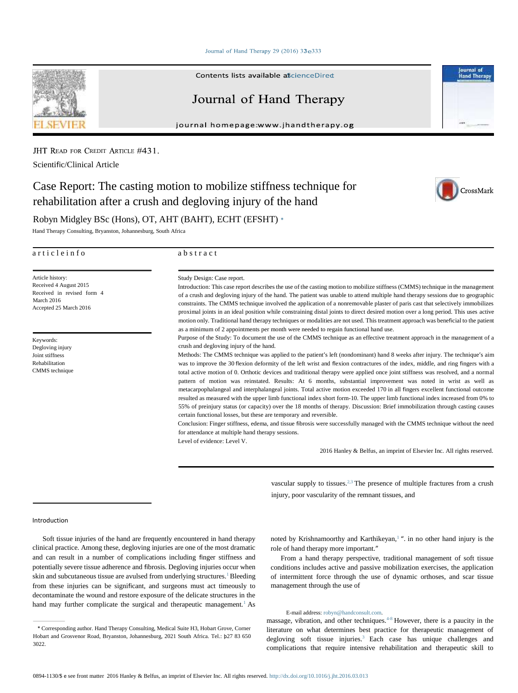Journal of Hand Therapy 29 (2016) 32e333



Contents lists available aficienceDired

# Journal of Hand Therapy

journal homepage:www.jhandtherapy.og

JHT READ FOR CREDIT ARTICLE #431.

Scientific/Clinical Article

# Case Report: The casting motion to mobilize stiffness technique for rehabilitation after a crush and degloving injury of the hand



Robyn Midgley BSc (Hons), OT, AHT (BAHT), ECHT (EFSHT) \* Hand Therapy Consulting, Bryanston, Johannesburg, South Africa

# articleinfo

Article history: Received 4 August 2015 Received in revised form 4 March 2016 Accepted 25 March 2016

Keywords: Degloving injury Joint stiffness Rehabilitation CMMS technique

# a b s t r a c t

# Study Design: Case report.

Introduction: This case report describes the use of the casting motion to mobilize stiffness (CMMS) technique in the management of a crush and degloving injury of the hand. The patient was unable to attend multiple hand therapy sessions due to geographic constraints. The CMMS technique involved the application of a nonremovable plaster of paris cast that selectively immobilizes proximal joints in an ideal position while constraining distal joints to direct desired motion over a long period. This uses active motion only. Traditional hand therapy techniques or modalities are not used. This treatment approach was beneficial to the patient as a minimum of 2 appointments per month were needed to regain functional hand use.

Purpose of the Study: To document the use of the CMMS technique as an effective treatment approach in the management of a crush and degloving injury of the hand.

Methods: The CMMS technique was applied to the patient's left (nondominant) hand 8 weeks after injury. The technique's aim was to improve the 30 flexion deformity of the left wrist and flexion contractures of the index, middle, and ring fingers with a total active motion of 0. Orthotic devices and traditional therapy were applied once joint stiffness was resolved, and a normal pattern of motion was reinstated. Results: At 6 months, substantial improvement was noted in wrist as well as metacarpophalangeal and interphalangeal joints. Total active motion exceeded 170 in all fingers excellent functional outcome resulted as measured with the upper limb functional index short form-10. The upper limb functional index increased from 0% to 55% of preinjury status (or capacity) over the 18 months of therapy. Discussion: Brief immobilization through casting causes certain functional losses, but these are temporary and reversible.

Conclusion: Finger stiffness, edema, and tissue fibrosis were successfully managed with the CMMS technique without the need for attendance at multiple hand therapy sessions. Level of evidence: Level V.

2016 Hanley & Belfus, an imprint of Elsevier Inc. All rights reserved.

vascular supply to tissues.<sup>2,3</sup> The presence of multiple fractures from a crush injury, poor vascularity of the remnant tissues, and

# Introduction

Soft tissue injuries of the hand are frequently encountered in hand therapy clinical practice. Among these, degloving injuries are one of the most dramatic and can result in a number of complications including finger stiffness and potentially severe tissue adherence and fibrosis. Degloving injuries occur when skin and subcutaneous tissue are avulsed from underlying structures.<sup>1</sup> Bleeding from these injuries can be significant, and surgeons must act timeously to decontaminate the wound and restore exposure of the delicate structures in the hand may further complicate the surgical and therapeutic management.<sup>1</sup> As

noted by Krishnamoorthy and Karthikeyan,<sup>1</sup>". in no other hand injury is the role of hand therapy more important."

From a hand therapy perspective, traditional management of soft tissue conditions includes active and passive mobilization exercises, the application of intermittent force through the use of dynamic orthoses, and scar tissue management through the use of

#### E-mail address: robyn@handconsult.com.

massage, vibration, and other techniques. $4-8$  However, there is a paucity in the literature on what determines best practice for therapeutic management of degloving soft tissue injuries.<sup>3</sup> Each case has unique challenges and complications that require intensive rehabilitation and therapeutic skill to

<sup>\*</sup> Corresponding author. Hand Therapy Consulting, Medical Suite H3, Hobart Grove, Corner Hobart and Grosvenor Road, Bryanston, Johannesburg, 2021 South Africa. Tel.: þ27 83 650 3022.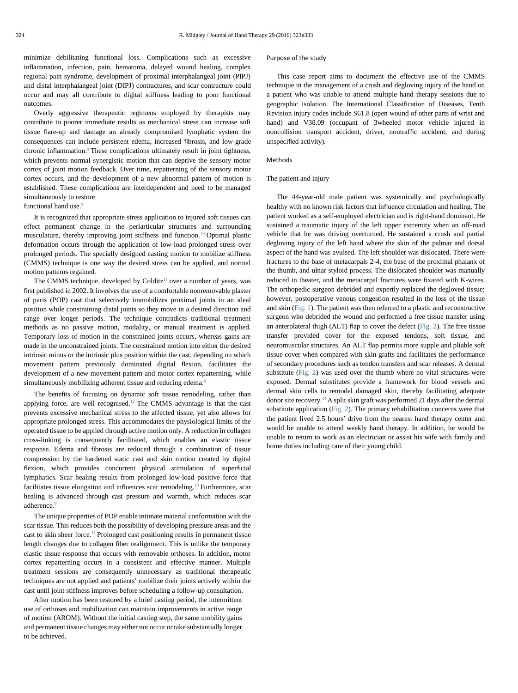minimize debilitating functional loss. Complications such as excessive inflammation, infection, pain, hematoma, delayed wound healing, complex regional pain syndrome, development of proximal interphalangeal joint (PIPJ) and distal interphalangeal joint (DIPJ) contractures, and scar contracture could occur and may all contribute to digital stiffness leading to poor functional outcomes.

Overly aggressive therapeutic regimens employed by therapists may contribute to poorer immediate results as mechanical stress can increase soft tissue flare-up and damage an already compromised lymphatic system the consequences can include persistent edema, increased fibrosis, and low-grade chronic inflammation.<sup>9</sup> These complications ultimately result in joint tightness, which prevents normal synergistic motion that can deprive the sensory motor cortex of joint motion feedback. Over time, repatterning of the sensory motor cortex occurs, and the development of a new abnormal pattern of motion is established. These complications are interdependent and need to be managed simultaneously to restore

# functional hand use.<sup>9</sup>

It is recognized that appropriate stress application to injured soft tissues can effect permanent change in the periarticular structures and surrounding musculature, thereby improving joint stiffness and function.<sup>10</sup> Optimal plastic deformation occurs through the application of low-load prolonged stress over prolonged periods. The specially designed casting motion to mobilize stiffness (CMMS) technique is one way the desired stress can be applied, and normal motion patterns regained.

The CMMS technique, developed by Colditz<sup>11</sup> over a number of years, was first published in 2002. It involves the use of a comfortable nonremovable plaster of paris (POP) cast that selectively immobilizes proximal joints in an ideal position while constraining distal joints so they move in a desired direction and range over longer periods. The technique contradicts traditional treatment methods as no passive motion, modality, or manual treatment is applied. Temporary loss of motion in the constrained joints occurs, whereas gains are made in the unconstrained joints. The constrained motion into either the desired intrinsic minus or the intrinsic plus position within the cast, depending on which movement pattern previously dominated digital flexion, facilitates the development of a new movement pattern and motor cortex repatterning, while simultaneously mobilizing adherent tissue and reducing edema.<sup>9</sup>

The benefits of focusing on dynamic soft tissue remodeling, rather than applying force, are well recognised.<sup>12</sup> The CMMS advantage is that the cast prevents excessive mechanical stress to the affected tissue, yet also allows for appropriate prolonged stress. This accommodates the physiological limits of the operated tissue to be applied through active motion only. A reduction in collagen cross-linking is consequently facilitated, which enables an elastic tissue response. Edema and fibrosis are reduced through a combination of tissue compression by the hardened static cast and skin motion created by digital flexion, which provides concurrent physical stimulation of superficial lymphatics. Scar healing results from prolonged low-load positive force that facilitates tissue elongation and influences scar remodeling.<sup>13</sup> Furthermore, scar healing is advanced through cast pressure and warmth, which reduces scar adherence.<sup>9</sup>

The unique properties of POP enable intimate material conformation with the scar tissue. This reduces both the possibility of developing pressure areas and the cast to skin sheer force.<sup>11</sup> Prolonged cast positioning results in permanent tissue length changes due to collagen fiber realignment. This is unlike the temporary elastic tissue response that occurs with removable orthoses. In addition, motor cortex repatterning occurs in a consistent and effective manner. Multiple treatment sessions are consequently unnecessary as traditional therapeutic techniques are not applied and patients' mobilize their joints actively within the cast until joint stiffness improves before scheduling a follow-up consultation.

After motion has been restored by a brief casting period, the intermittent use of orthoses and mobilization can maintain improvements in active range of motion (AROM). Without the initial casting step, the same mobility gains and permanent tissue changes may either not occur or take substantially longer to be achieved.

# Purpose of the study

This case report aims to document the effective use of the CMMS technique in the management of a crush and degloving injury of the hand on a patient who was unable to attend multiple hand therapy sessions due to geographic isolation. The International Classification of Diseases, Tenth Revision injury codes include S61.8 (open wound of other parts of wrist and hand) and V38.09 (occupant of 3wheeled motor vehicle injured in noncollision transport accident, driver, nontraffic accident, and during unspecified activity).

# Methods

# The patient and injury

The 44-year-old male patient was systemically and psychologically healthy with no known risk factors that influence circulation and healing. The patient worked as a self-employed electrician and is right-hand dominant. He sustained a traumatic injury of the left upper extremity when an off-road vehicle that he was driving overturned. He sustained a crush and partial degloving injury of the left hand where the skin of the palmar and dorsal aspect of the hand was avulsed. The left shoulder was dislocated. There were fractures to the base of metacarpals 2-4, the base of the proximal phalanx of the thumb, and ulnar styloid process. The dislocated shoulder was manually reduced in theater, and the metacarpal fractures were fixated with K-wires. The orthopedic surgeon debrided and expertly replaced the degloved tissue; however, postoperative venous congestion resulted in the loss of the tissue and skin (Fig. 1). The patient was then referred to a plastic and reconstructive surgeon who debrided the wound and performed a free tissue transfer using an anterolateral thigh (ALT) flap to cover the defect (Fig. 2). The free tissue transfer provided cover for the exposed tendons, soft tissue, and neuromuscular structures. An ALT flap permits more supple and pliable soft tissue cover when compared with skin grafts and facilitates the performance of secondary procedures such as tendon transfers and scar releases. A dermal substitute (Fig. 2) was used over the thumb where no vital structures were exposed. Dermal substitutes provide a framework for blood vessels and dermal skin cells to remodel damaged skin, thereby facilitating adequate donor site recovery.<sup>14</sup>A split skin graft was performed 21 days after the dermal substitute application (Fig. 2). The primary rehabilitation concerns were that the patient lived 2.5 hours' drive from the nearest hand therapy center and would be unable to attend weekly hand therapy. In addition, he would be unable to return to work as an electrician or assist his wife with family and home duties including care of their young child.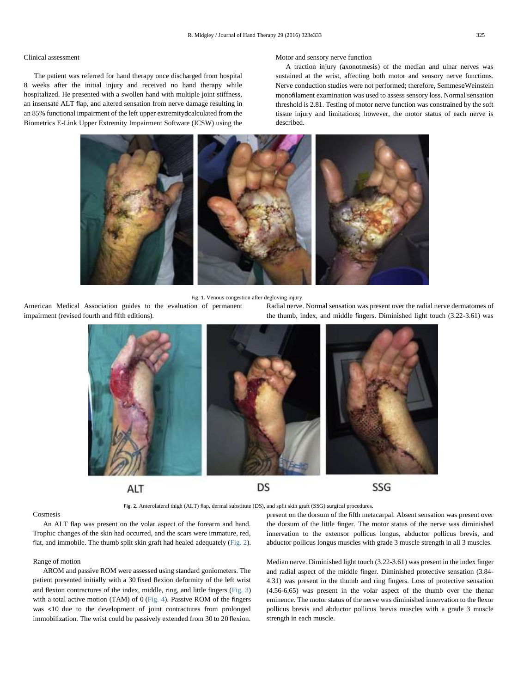# Clinical assessment

The patient was referred for hand therapy once discharged from hospital 8 weeks after the initial injury and received no hand therapy while hospitalized. He presented with a swollen hand with multiple joint stiffness, an insensate ALT flap, and altered sensation from nerve damage resulting in an 85% functional impairment of the left upper extremitydcalculated from the Biometrics E-Link Upper Extremity Impairment Software (ICSW) using the

# Motor and sensory nerve function

A traction injury (axonotmesis) of the median and ulnar nerves was sustained at the wrist, affecting both motor and sensory nerve functions. Nerve conduction studies were not performed; therefore, SemmeseWeinstein monofilament examination was used to assess sensory loss. Normal sensation threshold is 2.81. Testing of motor nerve function was constrained by the soft tissue injury and limitations; however, the motor status of each nerve is described.



Fig. 1. Venous congestion after degloving injury.

American Medical Association guides to the evaluation of permanent impairment (revised fourth and fifth editions). Radial nerve. Normal sensation was present over the radial nerve dermatomes of the thumb, index, and middle fingers. Diminished light touch (3.22-3.61) was



ALT

DS

Fig. 2. Anterolateral thigh (ALT) flap, dermal substitute (DS), and split skin graft (SSG) surgical procedures.

SSG

# Cosmesis

An ALT flap was present on the volar aspect of the forearm and hand. Trophic changes of the skin had occurred, and the scars were immature, red, flat, and immobile. The thumb split skin graft had healed adequately (Fig. 2).

#### Range of motion

AROM and passive ROM were assessed using standard goniometers. The patient presented initially with a 30 fixed flexion deformity of the left wrist and flexion contractures of the index, middle, ring, and little fingers (Fig. 3) with a total active motion (TAM) of 0 (Fig. 4). Passive ROM of the fingers was <10 due to the development of joint contractures from prolonged immobilization. The wrist could be passively extended from 30 to 20 flexion.

present on the dorsum of the fifth metacarpal. Absent sensation was present over the dorsum of the little finger. The motor status of the nerve was diminished innervation to the extensor pollicus longus, abductor pollicus brevis, and abductor pollicus longus muscles with grade 3 muscle strength in all 3 muscles.

Median nerve. Diminished light touch (3.22-3.61) was present in the index finger and radial aspect of the middle finger. Diminished protective sensation (3.84- 4.31) was present in the thumb and ring fingers. Loss of protective sensation (4.56-6.65) was present in the volar aspect of the thumb over the thenar eminence. The motor status of the nerve was diminished innervation to the flexor pollicus brevis and abductor pollicus brevis muscles with a grade 3 muscle strength in each muscle.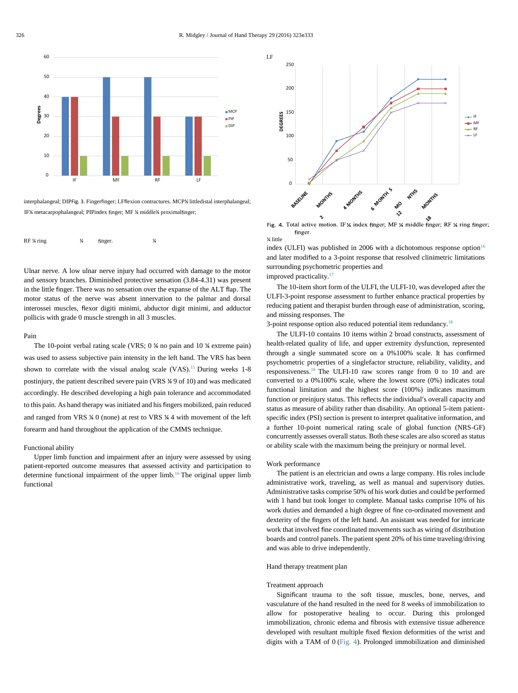

interphalangeal; DIPFig. 3. Fingerfinger; LFflexion contractures. MCP¼ littledistal interphalangeal; IF¼ metacarpophalangeal; PIPindex finger; MF ¼ middle¼ proximalfinger;

| RF % ring |  | finger. |  |
|-----------|--|---------|--|
|-----------|--|---------|--|

Ulnar nerve. A low ulnar nerve injury had occurred with damage to the motor and sensory branches. Diminished protective sensation (3.84-4.31) was present in the little finger. There was no sensation over the expanse of the ALT flap. The motor status of the nerve was absent innervation to the palmar and dorsal interossei muscles, flexor digiti minimi, abductor digit minimi, and adductor pollicis with grade 0 muscle strength in all 3 muscles.

#### Pain

The 10-point verbal rating scale (VRS; 0 ¼ no pain and 10 ¼ extreme pain) was used to assess subjective pain intensity in the left hand. The VRS has been shown to correlate with the visual analog scale  $(VAS)$ .<sup>15</sup> During weeks 1-8 postinjury, the patient described severe pain (VRS ¼ 9 of 10) and was medicated accordingly. He described developing a high pain tolerance and accommodated to this pain. As hand therapy was initiated and his fingers mobilized, pain reduced and ranged from VRS ¼ 0 (none) at rest to VRS ¼ 4 with movement of the left forearm and hand throughout the application of the CMMS technique.

#### Functional ability

Upper limb function and impairment after an injury were assessed by using patient-reported outcome measures that assessed activity and participation to determine functional impairment of the upper limb.<sup>16</sup> The original upper limb functional



Fig. 4. Total active motion. IF 1/4 index finger; MF 1/4 middle finger; RF 1/4 ring finger; finger. ¼ little

index (ULFI) was published in 2006 with a dichotomous response option<sup>16</sup> and later modified to a 3-point response that resolved clinimetric limitations surrounding psychometric properties and

improved practicality.<sup>17</sup>

The 10-item short form of the ULFI, the ULFI-10, was developed after the ULFI-3-point response assessment to further enhance practical properties by reducing patient and therapist burden through ease of administration, scoring, and missing responses. The

3-point response option also reduced potential item redundancy.<sup>18</sup>

The ULFI-10 contains 10 items within 2 broad constructs, assessment of health-related quality of life, and upper extremity dysfunction, represented through a single summated score on a 0%100% scale. It has confirmed psychometric properties of a singlefactor structure, reliability, validity, and responsiveness.<sup>18</sup> The ULFI-10 raw scores range from 0 to 10 and are converted to a 0%100% scale, where the lowest score (0%) indicates total functional limitation and the highest score (100%) indicates maximum function or preinjury status. This reflects the individual's overall capacity and status as measure of ability rather than disability. An optional 5-item patientspecific index (PSI) section is present to interpret qualitative information, and a further 10-point numerical rating scale of global function (NRS-GF) concurrently assesses overall status. Both these scales are also scored as status or ability scale with the maximum being the preinjury or normal level.

#### Work performance

The patient is an electrician and owns a large company. His roles include administrative work, traveling, as well as manual and supervisory duties. Administrative tasks comprise 50% of his work duties and could be performed with 1 hand but took longer to complete. Manual tasks comprise 10% of his work duties and demanded a high degree of fine co-ordinated movement and dexterity of the fingers of the left hand. An assistant was needed for intricate work that involved fine coordinated movements such as wiring of distribution boards and control panels. The patient spent 20% of his time traveling/driving and was able to drive independently.

#### Hand therapy treatment plan

#### Treatment approach

Significant trauma to the soft tissue, muscles, bone, nerves, and vasculature of the hand resulted in the need for 8 weeks of immobilization to allow for postoperative healing to occur. During this prolonged immobilization, chronic edema and fibrosis with extensive tissue adherence developed with resultant multiple fixed flexion deformities of the wrist and digits with a TAM of 0 (Fig. 4). Prolonged immobilization and diminished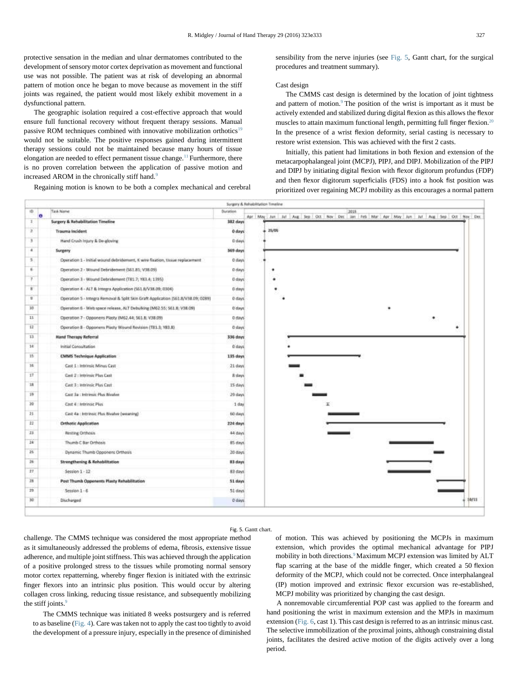protective sensation in the median and ulnar dermatomes contributed to the development of sensory motor cortex deprivation as movement and functional use was not possible. The patient was at risk of developing an abnormal pattern of motion once he began to move because as movement in the stiff joints was regained, the patient would most likely exhibit movement in a dysfunctional pattern.

The geographic isolation required a cost-effective approach that would ensure full functional recovery without frequent therapy sessions. Manual passive ROM techniques combined with innovative mobilization orthotics<sup>19</sup> would not be suitable. The positive responses gained during intermittent therapy sessions could not be maintained because many hours of tissue elongation are needed to effect permanent tissue change.<sup>11</sup> Furthermore, there is no proven correlation between the application of passive motion and increased AROM in the chronically stiff hand.<sup>9</sup>

Regaining motion is known to be both a complex mechanical and cerebral

sensibility from the nerve injuries (see Fig. 5, Gantt chart, for the surgical procedures and treatment summary).

# Cast design

The CMMS cast design is determined by the location of joint tightness and pattern of motion.<sup>9</sup> The position of the wrist is important as it must be actively extended and stabilized during digital flexion as this allows the flexor muscles to attain maximum functional length, permitting full finger flexion.<sup>20</sup> In the presence of a wrist flexion deformity, serial casting is necessary to restore wrist extension. This was achieved with the first 2 casts.

Initially, this patient had limitations in both flexion and extension of the metacarpophalangeal joint (MCPJ), PIPJ, and DIPJ. Mobilization of the PIPJ and DIPJ by initiating digital flexion with flexor digitorum profundus (FDP) and then flexor digitorum superficialis (FDS) into a hook fist position was prioritized over regaining MCPJ mobility as this encourages a normal pattern



#### Fig. 5. Gantt chart.

challenge. The CMMS technique was considered the most appropriate method as it simultaneously addressed the problems of edema, fibrosis, extensive tissue adherence, and multiple joint stiffness. This was achieved through the application of a positive prolonged stress to the tissues while promoting normal sensory motor cortex repatterning, whereby finger flexion is initiated with the extrinsic finger flexors into an intrinsic plus position. This would occur by altering collagen cross linking, reducing tissue resistance, and subsequently mobilizing the stiff joints.<sup>9</sup>

The CMMS technique was initiated 8 weeks postsurgery and is referred to as baseline (Fig. 4). Care was taken not to apply the cast too tightly to avoid the development of a pressure injury, especially in the presence of diminished of motion. This was achieved by positioning the MCPJs in maximum extension, which provides the optimal mechanical advantage for PIPJ mobility in both directions.<sup>9</sup>Maximum MCPJ extension was limited by ALT flap scarring at the base of the middle finger, which created a 50 flexion deformity of the MCPJ, which could not be corrected. Once interphalangeal (IP) motion improved and extrinsic flexor excursion was re-established, MCPJ mobility was prioritized by changing the cast design.

A nonremovable circumferential POP cast was applied to the forearm and hand positioning the wrist in maximum extension and the MPJs in maximum extension (Fig. 6, cast 1). This cast design is referred to as an intrinsic minus cast. The selective immobilization of the proximal joints, although constraining distal joints, facilitates the desired active motion of the digits actively over a long period.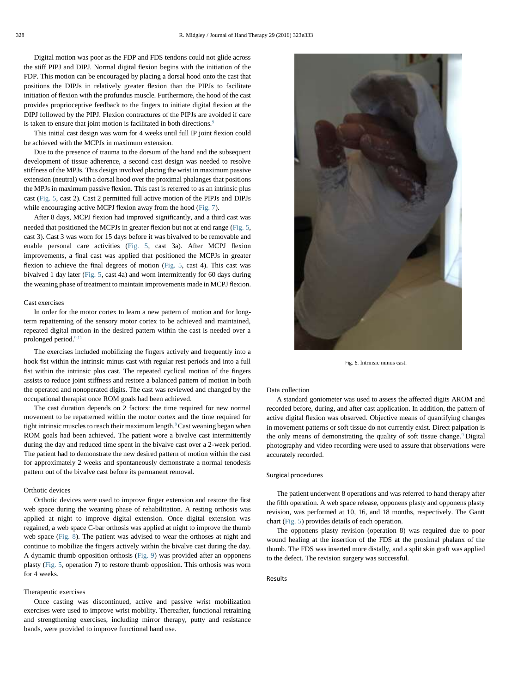Digital motion was poor as the FDP and FDS tendons could not glide across the stiff PIPJ and DIPJ. Normal digital flexion begins with the initiation of the FDP. This motion can be encouraged by placing a dorsal hood onto the cast that positions the DIPJs in relatively greater flexion than the PIPJs to facilitate initiation of flexion with the profundus muscle. Furthermore, the hood of the cast provides proprioceptive feedback to the fingers to initiate digital flexion at the DIPJ followed by the PIPJ. Flexion contractures of the PIPJs are avoided if care is taken to ensure that joint motion is facilitated in both directions.<sup>9</sup>

This initial cast design was worn for 4 weeks until full IP joint flexion could be achieved with the MCPJs in maximum extension.

Due to the presence of trauma to the dorsum of the hand and the subsequent development of tissue adherence, a second cast design was needed to resolve stiffness of the MPJs. This design involved placing the wrist in maximum passive extension (neutral) with a dorsal hood over the proximal phalanges that positions the MPJs in maximum passive flexion. This cast is referred to as an intrinsic plus cast (Fig. 5, cast 2). Cast 2 permitted full active motion of the PIPJs and DIPJs while encouraging active MCPJ flexion away from the hood (Fig. 7).

After 8 days, MCPJ flexion had improved significantly, and a third cast was needed that positioned the MCPJs in greater flexion but not at end range (Fig. 5, cast 3). Cast 3 was worn for 15 days before it was bivalved to be removable and enable personal care activities (Fig. 5, cast 3a). After MCPJ flexion improvements, a final cast was applied that positioned the MCPJs in greater flexion to achieve the final degrees of motion (Fig. 5, cast 4). This cast was bivalved 1 day later (Fig. 5, cast 4a) and worn intermittently for 60 days during the weaning phase of treatment to maintain improvements made in MCPJ flexion.

# Cast exercises

In order for the motor cortex to learn a new pattern of motion and for longterm repatterning of the sensory motor cortex to be achieved and maintained, repeated digital motion in the desired pattern within the cast is needed over a prolonged period.<sup>9,11</sup>

The exercises included mobilizing the fingers actively and frequently into a hook fist within the intrinsic minus cast with regular rest periods and into a full fist within the intrinsic plus cast. The repeated cyclical motion of the fingers assists to reduce joint stiffness and restore a balanced pattern of motion in both the operated and nonoperated digits. The cast was reviewed and changed by the occupational therapist once ROM goals had been achieved.

The cast duration depends on 2 factors: the time required for new normal movement to be repatterned within the motor cortex and the time required for tight intrinsic muscles to reach their maximum length.<sup>9</sup> Cast weaning began when ROM goals had been achieved. The patient wore a bivalve cast intermittently during the day and reduced time spent in the bivalve cast over a 2-week period. The patient had to demonstrate the new desired pattern of motion within the cast for approximately 2 weeks and spontaneously demonstrate a normal tenodesis pattern out of the bivalve cast before its permanent removal.

# Orthotic devices

Orthotic devices were used to improve finger extension and restore the first web space during the weaning phase of rehabilitation. A resting orthosis was applied at night to improve digital extension. Once digital extension was regained, a web space C-bar orthosis was applied at night to improve the thumb web space (Fig. 8). The patient was advised to wear the orthoses at night and continue to mobilize the fingers actively within the bivalve cast during the day. A dynamic thumb opposition orthosis (Fig. 9) was provided after an opponens plasty (Fig. 5, operation 7) to restore thumb opposition. This orthosis was worn for 4 weeks.

## Therapeutic exercises

Once casting was discontinued, active and passive wrist mobilization exercises were used to improve wrist mobility. Thereafter, functional retraining and strengthening exercises, including mirror therapy, putty and resistance bands, were provided to improve functional hand use.



Fig. 6. Intrinsic minus cast.

# Data collection

A standard goniometer was used to assess the affected digits AROM and recorded before, during, and after cast application. In addition, the pattern of active digital flexion was observed. Objective means of quantifying changes in movement patterns or soft tissue do not currently exist. Direct palpation is the only means of demonstrating the quality of soft tissue change.<sup>9</sup> Digital photography and video recording were used to assure that observations were accurately recorded.

#### Surgical procedures

The patient underwent 8 operations and was referred to hand therapy after the fifth operation. A web space release, opponens plasty and opponens plasty revision, was performed at 10, 16, and 18 months, respectively. The Gantt chart (Fig. 5) provides details of each operation.

The opponens plasty revision (operation 8) was required due to poor wound healing at the insertion of the FDS at the proximal phalanx of the thumb. The FDS was inserted more distally, and a split skin graft was applied to the defect. The revision surgery was successful.

# Results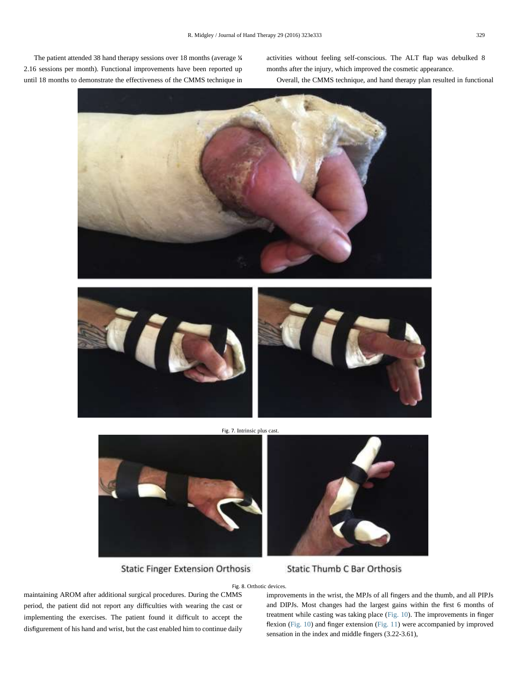The patient attended 38 hand therapy sessions over 18 months (average ¼ 2.16 sessions per month). Functional improvements have been reported up until 18 months to demonstrate the effectiveness of the CMMS technique in activities without feeling self-conscious. The ALT flap was debulked 8 months after the injury, which improved the cosmetic appearance. Overall, the CMMS technique, and hand therapy plan resulted in functional



Fig. 7. Intrinsic plus cast.



**Static Finger Extension Orthosis** 



**Static Thumb C Bar Orthosis** 

Fig. 8. Orthotic devices.

maintaining AROM after additional surgical procedures. During the CMMS period, the patient did not report any difficulties with wearing the cast or implementing the exercises. The patient found it difficult to accept the disfigurement of his hand and wrist, but the cast enabled him to continue daily improvements in the wrist, the MPJs of all fingers and the thumb, and all PIPJs and DIPJs. Most changes had the largest gains within the first 6 months of treatment while casting was taking place (Fig. 10). The improvements in finger flexion (Fig. 10) and finger extension (Fig. 11) were accompanied by improved sensation in the index and middle fingers (3.22-3.61),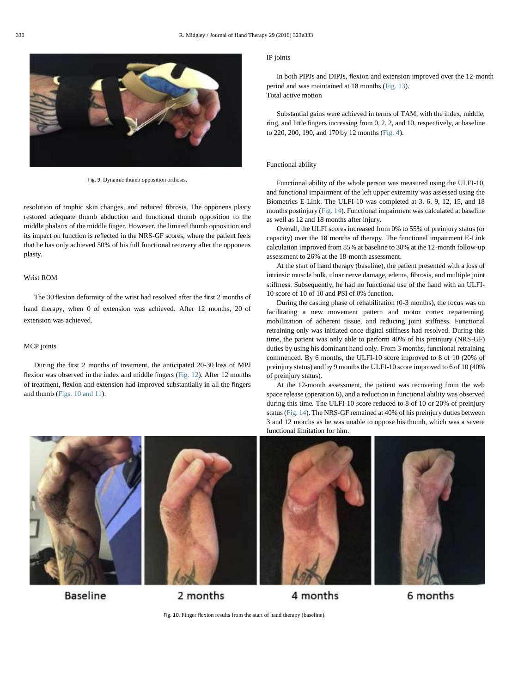

Fig. 9. Dynamic thumb opposition orthosis.

resolution of trophic skin changes, and reduced fibrosis. The opponens plasty restored adequate thumb abduction and functional thumb opposition to the middle phalanx of the middle finger. However, the limited thumb opposition and its impact on function is reflected in the NRS-GF scores, where the patient feels that he has only achieved 50% of his full functional recovery after the opponens plasty.

# Wrist ROM

The 30 flexion deformity of the wrist had resolved after the first 2 months of hand therapy, when 0 of extension was achieved. After 12 months, 20 of extension was achieved.

# MCP joints

During the first 2 months of treatment, the anticipated 20-30 loss of MPJ flexion was observed in the index and middle fingers (Fig. 12). After 12 months of treatment, flexion and extension had improved substantially in all the fingers and thumb (Figs. 10 and 11).

# IP joints

In both PIPJs and DIPJs, flexion and extension improved over the 12-month period and was maintained at 18 months (Fig. 13). Total active motion

Substantial gains were achieved in terms of TAM, with the index, middle, ring, and little fingers increasing from 0, 2, 2, and 10, respectively, at baseline to 220, 200, 190, and 170 by 12 months (Fig. 4).

# Functional ability

Functional ability of the whole person was measured using the ULFI-10, and functional impairment of the left upper extremity was assessed using the Biometrics E-Link. The ULFI-10 was completed at 3, 6, 9, 12, 15, and 18 months postinjury (Fig. 14). Functional impairment was calculated at baseline as well as 12 and 18 months after injury.

Overall, the ULFI scores increased from 0% to 55% of preinjury status (or capacity) over the 18 months of therapy. The functional impairment E-Link calculation improved from 85% at baseline to 38% at the 12-month follow-up assessment to 26% at the 18-month assessment.

At the start of hand therapy (baseline), the patient presented with a loss of intrinsic muscle bulk, ulnar nerve damage, edema, fibrosis, and multiple joint stiffness. Subsequently, he had no functional use of the hand with an ULFI-10 score of 10 of 10 and PSI of 0% function.

During the casting phase of rehabilitation (0-3 months), the focus was on facilitating a new movement pattern and motor cortex repatterning, mobilization of adherent tissue, and reducing joint stiffness. Functional retraining only was initiated once digital stiffness had resolved. During this time, the patient was only able to perform 40% of his preinjury (NRS-GF) duties by using his dominant hand only. From 3 months, functional retraining commenced. By 6 months, the ULFI-10 score improved to 8 of 10 (20% of preinjury status) and by 9 months the ULFI-10 score improved to 6 of 10 (40% of preinjury status).

At the 12-month assessment, the patient was recovering from the web space release (operation 6), and a reduction in functional ability was observed during this time. The ULFI-10 score reduced to 8 of 10 or 20% of preinjury status (Fig. 14). The NRS-GF remained at 40% of his preinjury duties between 3 and 12 months as he was unable to oppose his thumb, which was a severe functional limitation for him.



**Baseline** 

2 months

4 months



Fig. 10. Finger flexion results from the start of hand therapy (baseline).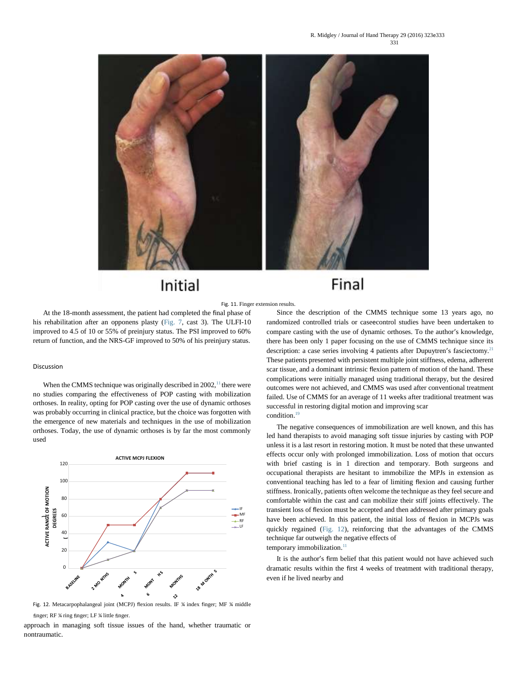#### R. Midgley / Journal of Hand Therapy 29 (2016) 323e333 331



# Initial

Final

Fig. 11. Finger extension results.

At the 18-month assessment, the patient had completed the final phase of his rehabilitation after an opponens plasty (Fig. 7, cast 3). The ULFI-10 improved to 4.5 of 10 or 55% of preinjury status. The PSI improved to 60% return of function, and the NRS-GF improved to 50% of his preinjury status.

#### Discussion

When the CMMS technique was originally described in  $2002$ ,<sup>11</sup> there were no studies comparing the effectiveness of POP casting with mobilization orthoses. In reality, opting for POP casting over the use of dynamic orthoses was probably occurring in clinical practice, but the choice was forgotten with the emergence of new materials and techniques in the use of mobilization orthoses. Today, the use of dynamic orthoses is by far the most commonly used



Fig. 12. Metacarpophalangeal joint (MCPJ) flexion results. IF ¼ index finger; MF ¼ middle finger; RF ¼ ring finger; LF ¼ little finger.

approach in managing soft tissue issues of the hand, whether traumatic or nontraumatic.

Since the description of the CMMS technique some 13 years ago, no randomized controlled trials or caseecontrol studies have been undertaken to compare casting with the use of dynamic orthoses. To the author's knowledge, there has been only 1 paper focusing on the use of CMMS technique since its description: a case series involving 4 patients after Dupuytren's fasciectomy.<sup>21</sup> These patients presented with persistent multiple joint stiffness, edema, adherent scar tissue, and a dominant intrinsic flexion pattern of motion of the hand. These complications were initially managed using traditional therapy, but the desired outcomes were not achieved, and CMMS was used after conventional treatment failed. Use of CMMS for an average of 11 weeks after traditional treatment was successful in restoring digital motion and improving scar condition.<sup>19</sup>

The negative consequences of immobilization are well known, and this has led hand therapists to avoid managing soft tissue injuries by casting with POP unless it is a last resort in restoring motion. It must be noted that these unwanted effects occur only with prolonged immobilization. Loss of motion that occurs with brief casting is in 1 direction and temporary. Both surgeons and occupational therapists are hesitant to immobilize the MPJs in extension as conventional teaching has led to a fear of limiting flexion and causing further stiffness. Ironically, patients often welcome the technique as they feel secure and comfortable within the cast and can mobilize their stiff joints effectively. The transient loss of flexion must be accepted and then addressed after primary goals have been achieved. In this patient, the initial loss of flexion in MCPJs was quickly regained (Fig. 12), reinforcing that the advantages of the CMMS technique far outweigh the negative effects of temporary immobilization.<sup>11</sup>

It is the author's firm belief that this patient would not have achieved such dramatic results within the first 4 weeks of treatment with traditional therapy, even if he lived nearby and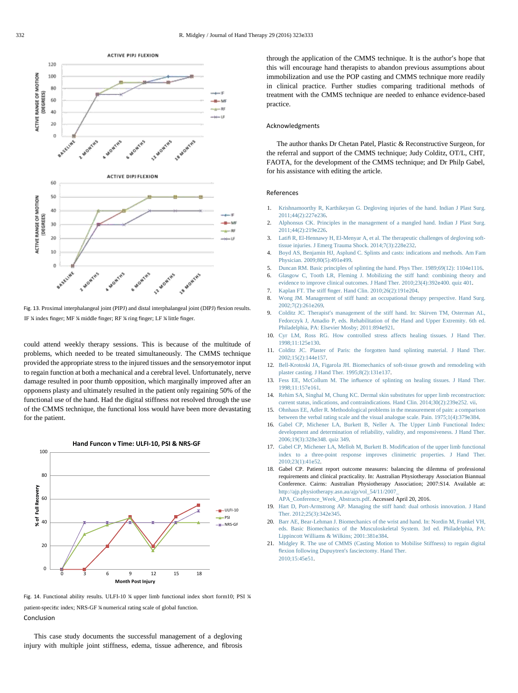

Fig. 13. Proximal interphalangeal joint (PIPJ) and distal interphalangeal joint (DIPJ) flexion results. IF ¼ index finger; MF ¼ middle finger; RF ¼ ring finger; LF ¼ little finger.

could attend weekly therapy sessions. This is because of the multitude of problems, which needed to be treated simultaneously. The CMMS technique provided the appropriate stress to the injured tissues and the sensoryemotor input to regain function at both a mechanical and a cerebral level. Unfortunately, nerve damage resulted in poor thumb opposition, which marginally improved after an opponens plasty and ultimately resulted in the patient only regaining 50% of the functional use of the hand. Had the digital stiffness not resolved through the use of the CMMS technique, the functional loss would have been more devastating for the patient.



Fig. 14. Functional ability results. ULFI-10 ¼ upper limb functional index short form10; PSI ¼ patient-specific index; NRS-GF ¼ numerical rating scale of global function. Conclusion

This case study documents the successful management of a degloving injury with multiple joint stiffness, edema, tissue adherence, and fibrosis through the application of the CMMS technique. It is the author's hope that this will encourage hand therapists to abandon previous assumptions about immobilization and use the POP casting and CMMS technique more readily in clinical practice. Further studies comparing traditional methods of treatment with the CMMS technique are needed to enhance evidence-based practice.

## Acknowledgments

The author thanks Dr Chetan Patel, Plastic & Reconstructive Surgeon, for the referral and support of the CMMS technique; Judy Colditz, OT/L, CHT, FAOTA, for the development of the CMMS technique; and Dr Philp Gabel, for his assistance with editing the article.

#### References

- 1. [Krishnamoorthy R, Karthikeyan G. Degloving injuries of the hand.](http://refhub.elsevier.com/S0894-1130(16)30037-0/sref1) [Indian J Plast Surg.](http://refhub.elsevier.com/S0894-1130(16)30037-0/sref1)  [2011;44\(2\):227](http://refhub.elsevier.com/S0894-1130(16)30037-0/sref1)[e](http://refhub.elsevier.com/S0894-1130(16)30037-0/sref1)[236.](http://refhub.elsevier.com/S0894-1130(16)30037-0/sref1)
- 2. [Alphonsus CK. Principles in the management of a mangled hand.](http://refhub.elsevier.com/S0894-1130(16)30037-0/sref2) [Indian J Plast Surg.](http://refhub.elsevier.com/S0894-1130(16)30037-0/sref2)  [2011;44\(2\):219](http://refhub.elsevier.com/S0894-1130(16)30037-0/sref2)[e](http://refhub.elsevier.com/S0894-1130(16)30037-0/sref2)[226.](http://refhub.elsevier.com/S0894-1130(16)30037-0/sref2)
- 3. [Lati](http://refhub.elsevier.com/S0894-1130(16)30037-0/sref3)[fi](http://refhub.elsevier.com/S0894-1130(16)30037-0/sref3) [R, El-Hennawy H, El-Menyar A, et al. The therapeutic challenges of degloving soft](http://refhub.elsevier.com/S0894-1130(16)30037-0/sref3)[tissue injuries.](http://refhub.elsevier.com/S0894-1130(16)30037-0/sref3) [J Emerg Trauma Shock. 2014;7\(3\):228](http://refhub.elsevier.com/S0894-1130(16)30037-0/sref3)[e](http://refhub.elsevier.com/S0894-1130(16)30037-0/sref3)[232.](http://refhub.elsevier.com/S0894-1130(16)30037-0/sref3)
- 4. [Boyd AS, Benjamin HJ, Asplund C. Splints and casts: indications and methods. Am Fam](http://refhub.elsevier.com/S0894-1130(16)30037-0/sref4)  [Physician. 2009;80\(5\):491](http://refhub.elsevier.com/S0894-1130(16)30037-0/sref4)[e](http://refhub.elsevier.com/S0894-1130(16)30037-0/sref4)[499.](http://refhub.elsevier.com/S0894-1130(16)30037-0/sref4)
- 5. [Duncan RM. Basic principles of splinting the hand.](http://refhub.elsevier.com/S0894-1130(16)30037-0/sref5) [Phys Ther. 1989;69\(12\): 1104](http://refhub.elsevier.com/S0894-1130(16)30037-0/sref5)[e](http://refhub.elsevier.com/S0894-1130(16)30037-0/sref5)[1116.](http://refhub.elsevier.com/S0894-1130(16)30037-0/sref5) 6. [Glasgow C, Tooth LR, Fleming J. Mobilizing the stiff hand: combining theory and](http://refhub.elsevier.com/S0894-1130(16)30037-0/sref6)
- [evidence to improve clinical outcomes.](http://refhub.elsevier.com/S0894-1130(16)30037-0/sref6) [J Hand Ther. 2010;23\(4\):392](http://refhub.elsevier.com/S0894-1130(16)30037-0/sref6)[e](http://refhub.elsevier.com/S0894-1130(16)30037-0/sref6)[400. quiz 401.](http://refhub.elsevier.com/S0894-1130(16)30037-0/sref6) 7. [Kaplan FT. The stiff](http://refhub.elsevier.com/S0894-1130(16)30037-0/sref7) [fi](http://refhub.elsevier.com/S0894-1130(16)30037-0/sref7)[nger.](http://refhub.elsevier.com/S0894-1130(16)30037-0/sref7) [Hand Clin. 2010;26\(2\):191](http://refhub.elsevier.com/S0894-1130(16)30037-0/sref7)[e](http://refhub.elsevier.com/S0894-1130(16)30037-0/sref7)[204.](http://refhub.elsevier.com/S0894-1130(16)30037-0/sref7)
- 8. [Wong JM. Management of stiff hand: an occupational therapy perspective. Hand Surg.](http://refhub.elsevier.com/S0894-1130(16)30037-0/sref8)  [2002;7\(2\):261](http://refhub.elsevier.com/S0894-1130(16)30037-0/sref8)[e](http://refhub.elsevier.com/S0894-1130(16)30037-0/sref8)[269.](http://refhub.elsevier.com/S0894-1130(16)30037-0/sref8)
- 9. Colditz JC. Therapi[st](http://refhub.elsevier.com/S0894-1130(16)30037-0/sref9)'[s](http://refhub.elsevier.com/S0894-1130(16)30037-0/sref9) management of the stiff hand. In: Skirven T[M, Osterman AL,](http://refhub.elsevier.com/S0894-1130(16)30037-0/sref9)  [Fedorczyk J, Amadio P, eds.](http://refhub.elsevier.com/S0894-1130(16)30037-0/sref9) [Rehabilitation of the Hand and Upper Extremity. 6th ed.](http://refhub.elsevier.com/S0894-1130(16)30037-0/sref9)  [Philadelphia, PA: Elsevier Mosby;](http://refhub.elsevier.com/S0894-1130(16)30037-0/sref9) [2011:894](http://refhub.elsevier.com/S0894-1130(16)30037-0/sref9)[e](http://refhub.elsevier.com/S0894-1130(16)30037-0/sref9)[921.](http://refhub.elsevier.com/S0894-1130(16)30037-0/sref9)
- 10. [Cyr LM, Ross RG. How controlled stress affects healing tissues.](http://refhub.elsevier.com/S0894-1130(16)30037-0/sref10) [J Hand Ther.](http://refhub.elsevier.com/S0894-1130(16)30037-0/sref10)  [1998;11:125](http://refhub.elsevier.com/S0894-1130(16)30037-0/sref10)[e](http://refhub.elsevier.com/S0894-1130(16)30037-0/sref10)[130.](http://refhub.elsevier.com/S0894-1130(16)30037-0/sref10)
- 11. [Colditz JC. Plaster of Paris: the forgotten hand splinting material.](http://refhub.elsevier.com/S0894-1130(16)30037-0/sref11) [J Hand Ther.](http://refhub.elsevier.com/S0894-1130(16)30037-0/sref11)  [2002;15\(2\):144](http://refhub.elsevier.com/S0894-1130(16)30037-0/sref11)[e](http://refhub.elsevier.com/S0894-1130(16)30037-0/sref11)[157.](http://refhub.elsevier.com/S0894-1130(16)30037-0/sref11)
- 12. [Bell-Krotoski JA, Figarola JH. Biomechanics of soft-tissue growth and remodeling with](http://refhub.elsevier.com/S0894-1130(16)30037-0/sref12)  [plaster casting.](http://refhub.elsevier.com/S0894-1130(16)30037-0/sref12) [J Hand Ther. 1995;8\(2\):131](http://refhub.elsevier.com/S0894-1130(16)30037-0/sref12)[e](http://refhub.elsevier.com/S0894-1130(16)30037-0/sref12)[137.](http://refhub.elsevier.com/S0894-1130(16)30037-0/sref12)
- 13. [Fess EE, McCollum M. The in](http://refhub.elsevier.com/S0894-1130(16)30037-0/sref13)[fl](http://refhub.elsevier.com/S0894-1130(16)30037-0/sref13)[uence of splinting on healing tissues.](http://refhub.elsevier.com/S0894-1130(16)30037-0/sref13) [J Hand Ther.](http://refhub.elsevier.com/S0894-1130(16)30037-0/sref13)  [1998;11:157](http://refhub.elsevier.com/S0894-1130(16)30037-0/sref13)[e](http://refhub.elsevier.com/S0894-1130(16)30037-0/sref13)[161.](http://refhub.elsevier.com/S0894-1130(16)30037-0/sref13)
- 14. [Rehim SA, Singhal M, Chung KC. Dermal skin substitutes for upper limb reconstruction:](http://refhub.elsevier.com/S0894-1130(16)30037-0/sref14)  [current status, indications, and contraindications.](http://refhub.elsevier.com/S0894-1130(16)30037-0/sref14) [Hand Clin. 2014;30\(2\):239](http://refhub.elsevier.com/S0894-1130(16)30037-0/sref14)[e](http://refhub.elsevier.com/S0894-1130(16)30037-0/sref14)[252. vii.](http://refhub.elsevier.com/S0894-1130(16)30037-0/sref14)
- 15. [Ohnhaus EE, Adler R. Methodological problems in the measurement of pain:](http://refhub.elsevier.com/S0894-1130(16)30037-0/sref15) [a comparison](http://refhub.elsevier.com/S0894-1130(16)30037-0/sref15)  [between the verbal rating scale and the visual analogue scale.](http://refhub.elsevier.com/S0894-1130(16)30037-0/sref15) [Pain. 1975;1\(4\):379](http://refhub.elsevier.com/S0894-1130(16)30037-0/sref15)[e](http://refhub.elsevier.com/S0894-1130(16)30037-0/sref15)[384.](http://refhub.elsevier.com/S0894-1130(16)30037-0/sref15)
- 16. [Gabel CP, Michener LA, Burkett B, Neller A. The Upper Limb Functional Index:](http://refhub.elsevier.com/S0894-1130(16)30037-0/sref16)  [development and determination of reliability, validity, and responsiveness. J Hand Ther.](http://refhub.elsevier.com/S0894-1130(16)30037-0/sref16)  [2006;19\(3\):328](http://refhub.elsevier.com/S0894-1130(16)30037-0/sref16)[e](http://refhub.elsevier.com/S0894-1130(16)30037-0/sref16)[348. quiz](http://refhub.elsevier.com/S0894-1130(16)30037-0/sref16) [349.](http://refhub.elsevier.com/S0894-1130(16)30037-0/sref16)
- 17. [Gabel CP, Michener LA, Melloh M, Burkett B. Modi](http://refhub.elsevier.com/S0894-1130(16)30037-0/sref17)[fi](http://refhub.elsevier.com/S0894-1130(16)30037-0/sref17)[cation of the upper limb functional](http://refhub.elsevier.com/S0894-1130(16)30037-0/sref17)  [index to a three-point response improves clinimetric properties. J Hand Ther.](http://refhub.elsevier.com/S0894-1130(16)30037-0/sref17)  [2010;23\(1\):41](http://refhub.elsevier.com/S0894-1130(16)30037-0/sref17)[e](http://refhub.elsevier.com/S0894-1130(16)30037-0/sref17)[52.](http://refhub.elsevier.com/S0894-1130(16)30037-0/sref17)
- 18. Gabel CP. Patient report outcome measures: balancing the dilemma of professional requirements and clinical practicality. In: Australian Physiotherapy Association Biannual Conference. Cairns: Australian Physiotherapy Association; 2007:S14. Available at: [http://ajp.physiotherapy.asn.au/ajp/vol\\_54/11/2007\\_](http://ajp.physiotherapy.asn.au/ajp/vol_54/11/2007_APA_Conference_Week_Abstracts.pdf) 
	- [APA\\_Conference\\_Week\\_Abstracts.pdf.](http://ajp.physiotherapy.asn.au/ajp/vol_54/11/2007_APA_Conference_Week_Abstracts.pdf) Accessed April 20, 2016.
- 19. [Hart D, Port-Armstrong AP. Managing the stiff hand: dual orthosis innovation. J Hand](http://refhub.elsevier.com/S0894-1130(16)30037-0/sref19)  [Ther. 2012;25\(3\):342](http://refhub.elsevier.com/S0894-1130(16)30037-0/sref19)[e](http://refhub.elsevier.com/S0894-1130(16)30037-0/sref19)[345.](http://refhub.elsevier.com/S0894-1130(16)30037-0/sref19)
- 20. [Barr AE, Bear-Lehman J. Biomechanics of the wrist and hand. In: Nordin M, Frankel VH,](http://refhub.elsevier.com/S0894-1130(16)30037-0/sref20)  [eds.](http://refhub.elsevier.com/S0894-1130(16)30037-0/sref20) [Basic Biomechanics of the Musculoskeletal System. 3rd ed. Philadelphia, PA:](http://refhub.elsevier.com/S0894-1130(16)30037-0/sref20)  [Lippincott Williams & Wilkins; 2001:381](http://refhub.elsevier.com/S0894-1130(16)30037-0/sref20)[e](http://refhub.elsevier.com/S0894-1130(16)30037-0/sref20)[384.](http://refhub.elsevier.com/S0894-1130(16)30037-0/sref20)
- 21. [Midgley R. The use of CMMS \(Casting Motion to Mobilise Stiffness\) to re](http://refhub.elsevier.com/S0894-1130(16)30037-0/sref21)gain digit[al](http://refhub.elsevier.com/S0894-1130(16)30037-0/sref21) [fl](http://refhub.elsevier.com/S0894-1130(16)30037-0/sref21)exion following Dupuytr[en](http://refhub.elsevier.com/S0894-1130(16)30037-0/sref21)'[s](http://refhub.elsevier.com/S0894-1130(16)30037-0/sref21) fasciectom[y.](http://refhub.elsevier.com/S0894-1130(16)30037-0/sref21) Hand Th[er.](http://refhub.elsevier.com/S0894-1130(16)30037-0/sref21) [2010;15:45](http://refhub.elsevier.com/S0894-1130(16)30037-0/sref21)[e](http://refhub.elsevier.com/S0894-1130(16)30037-0/sref21)[51.](http://refhub.elsevier.com/S0894-1130(16)30037-0/sref21)